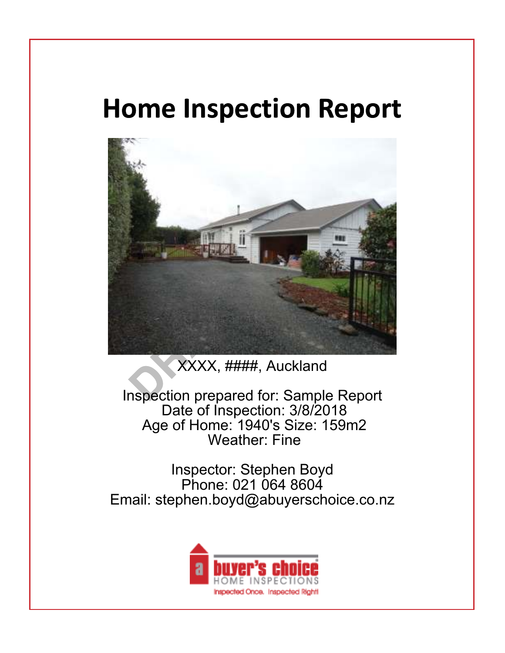# **Home Inspection Report**

Home Inspection Report Cover Page



XXXX, ####, Auckland

Inspection prepared for: Sample Report Date of Inspection: 3/8/2018 Age of Home: 1940's Size: 159m2 Weather: Fine

Inspector: Stephen Boyd Phone: 021 064 8604 Email: stephen.boyd@abuyerschoice.co.nz

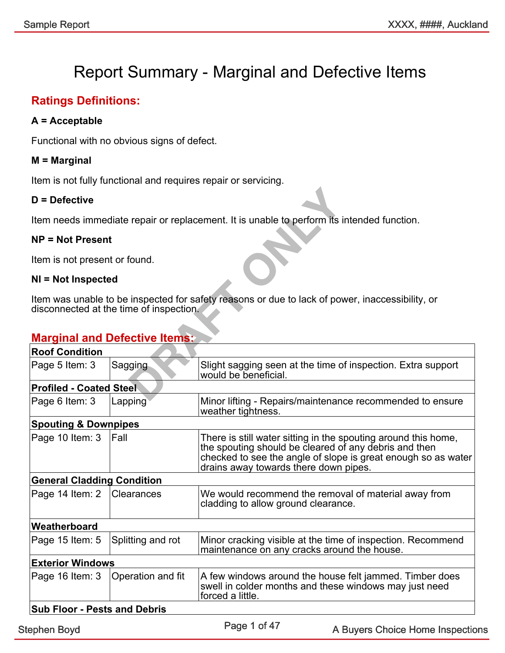#### Report Summary - Marginal and Defective Items Report Summary - Marginal and Defective Items

#### Ratings Definitions:

#### A = Acceptable

Functional with no obvious signs of defect.

#### M = Marginal

Item is not fully functional and requires repair or servicing.

#### D = Defective

#### NP = Not Present

#### NI = Not Inspected

#### **Marginal and Defective Items:**

| $D =$ Defective                     |                                         |                                                                                                                                                                                                                                   |
|-------------------------------------|-----------------------------------------|-----------------------------------------------------------------------------------------------------------------------------------------------------------------------------------------------------------------------------------|
|                                     |                                         | Item needs immediate repair or replacement. It is unable to perform its intended function.                                                                                                                                        |
| $NP = Not Present$                  |                                         |                                                                                                                                                                                                                                   |
| Item is not present or found.       |                                         |                                                                                                                                                                                                                                   |
| NI = Not Inspected                  |                                         |                                                                                                                                                                                                                                   |
|                                     | disconnected at the time of inspection. | Item was unable to be inspected for safety reasons or due to lack of power, inaccessibility, or                                                                                                                                   |
|                                     | <b>Marginal and Defective Items:</b>    |                                                                                                                                                                                                                                   |
| <b>Roof Condition</b>               |                                         |                                                                                                                                                                                                                                   |
| Page 5 Item: 3                      | Sagging                                 | Slight sagging seen at the time of inspection. Extra support<br>would be beneficial.                                                                                                                                              |
| <b>Profiled - Coated Steel</b>      |                                         |                                                                                                                                                                                                                                   |
| Page 6 Item: 3                      | Lapping                                 | Minor lifting - Repairs/maintenance recommended to ensure<br>weather tightness.                                                                                                                                                   |
| <b>Spouting &amp; Downpipes</b>     |                                         |                                                                                                                                                                                                                                   |
| Page 10 Item: 3                     | Fall                                    | There is still water sitting in the spouting around this home,<br>the spouting should be cleared of any debris and then<br>checked to see the angle of slope is great enough so as water<br>drains away towards there down pipes. |
| <b>General Cladding Condition</b>   |                                         |                                                                                                                                                                                                                                   |
| Page 14 Item: 2                     | Clearances                              | We would recommend the removal of material away from<br>cladding to allow ground clearance.                                                                                                                                       |
| Weatherboard                        |                                         |                                                                                                                                                                                                                                   |
| Page 15 Item: 5                     | Splitting and rot                       | Minor cracking visible at the time of inspection. Recommend<br>maintenance on any cracks around the house.                                                                                                                        |
| <b>Exterior Windows</b>             |                                         |                                                                                                                                                                                                                                   |
| Page 16 Item: 3                     | Operation and fit                       | A few windows around the house felt jammed. Timber does<br>swell in colder months and these windows may just need<br>forced a little.                                                                                             |
| <b>Sub Floor - Pests and Debris</b> |                                         |                                                                                                                                                                                                                                   |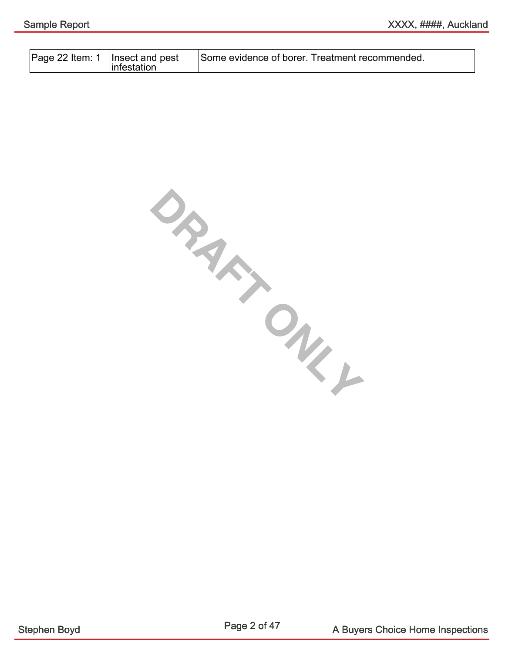| Page 22 Item: 1   Insect and pest<br>Some evidence of borer. Treatment recommended.<br>linfestation |  |
|-----------------------------------------------------------------------------------------------------|--|
|-----------------------------------------------------------------------------------------------------|--|

**DRAFT ONLY**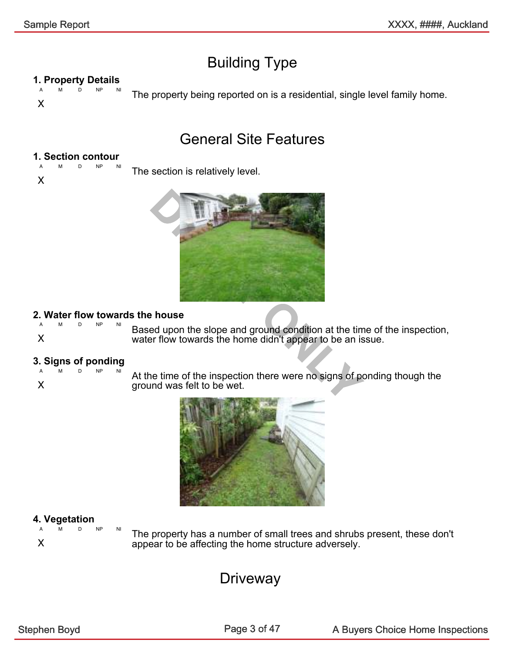### Building Type

#### 1. Property Details

A M D NP NI X The property being reported on is a residential, single level family home.

#### General Site Features

#### 1. Section contour A M D NP NI

X

The section is relatively level.



#### 2. Water flow towards the house

|  |  | Based upon the slope and ground condition at the time of  |
|--|--|-----------------------------------------------------------|
|  |  |                                                           |
|  |  | water flow towards the home didn't appear to be an issue. |

#### 3. Signs of ponding

| А                         | м | D | <b>NP</b> | NI |
|---------------------------|---|---|-----------|----|
| $\boldsymbol{\mathsf{X}}$ |   |   |           |    |

At the time of the inspection there were no signs of ponding though the ground was felt to be wet.

ground condition at the time of the inspection,



### **4. Vegetation**

A M D NP NI X

The property has a number of small trees and shrubs present, these don't appear to be affecting the home structure adversely.

### **Driveway**

Page 3 of 47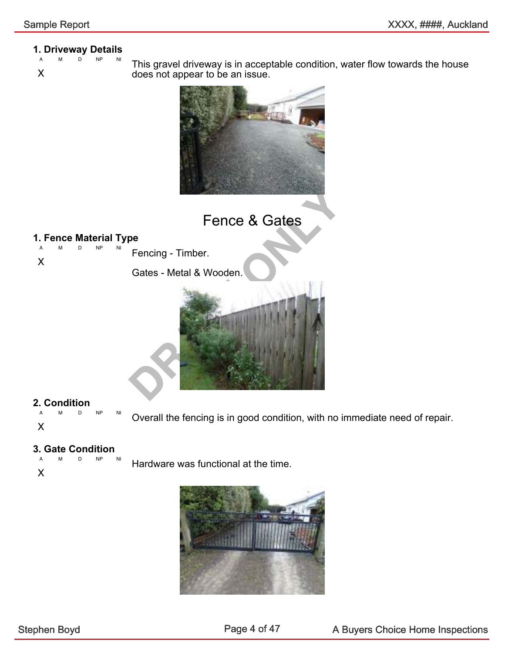### **1. Driveway Details**

- $NP$
- X

This gravel driveway is in acceptable condition, water flow towards the house does not appear to be an issue.



Fence & Gates

#### **1. Fence Material Type**

A M D NP NI X Fencing - Timber.

Gates - Metal & Wooden.



## 2. Condition

A M D NP NI X

Overall the fencing is in good condition, with no immediate need of repair.

### **3. Gate Condition**

D NP

Hardware was functional at the time.

X

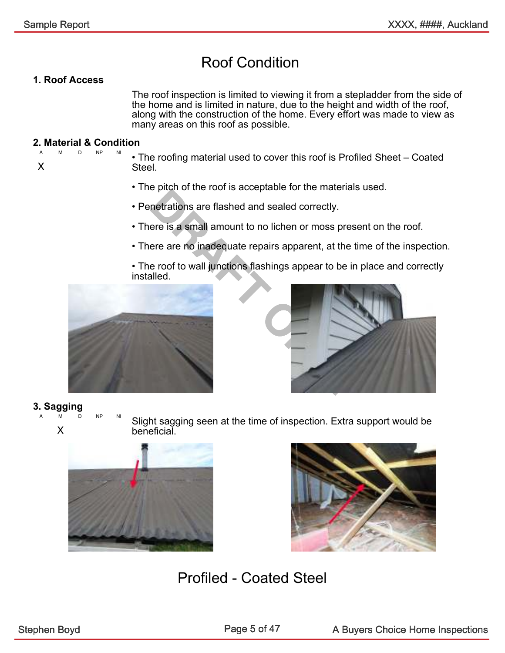### Roof Condition

#### 1. Roof Access

The roof inspection is limited to viewing it from a stepladder from the side of the home and is limited in nature, due to the height and width of the roof, along with the construction of the home. Every effort was made to view as many areas on this roof as possible.

#### 2. Material & Condition A M D NP NI

X

- The roofing material used to cover this roof is Profiled Sheet Coated Steel.
- The pitch of the roof is acceptable for the materials used.
- Penetrations are flashed and sealed correctly.
- There is a small amount to no lichen or moss present on the roof.
- There are no inadequate repairs apparent, at the time of the inspection.
- The roof to wall junctions flashings appear to be in place and correctly installed.





#### 3. Sagging

A M D NP NI

X

Slight sagging seen at the time of inspection. Extra support would be beneficial.





#### Profiled - Coated Steel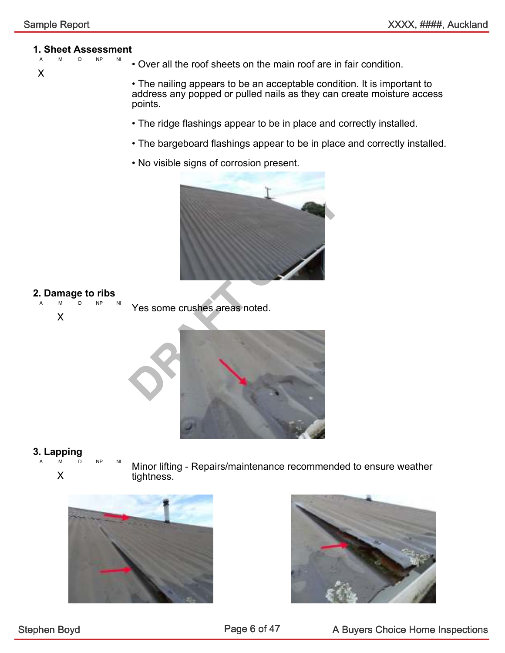### **1. Sheet Assessment**

D NP

X

• Over all the roof sheets on the main roof are in fair condition.

• The nailing appears to be an acceptable condition. It is important to address any popped or pulled nails as they can create moisture access points.

- The ridge flashings appear to be in place and correctly installed.
- The bargeboard flashings appear to be in place and correctly installed.
- No visible signs of corrosion present.



### 2. Damage to ribs

 $NP$ X Yes some crushes areas noted.



### 3. Lapping

- A M D NP NI
	- X

Minor lifting - Repairs/maintenance recommended to ensure weather tightness.



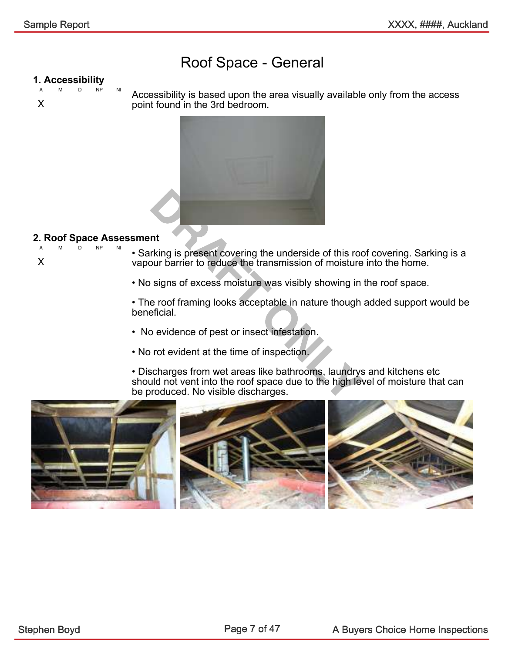#### Roof Space - General

#### 1. Accessibility

A M D NP NI X

Accessibility is based upon the area visually available only from the access point found in the 3rd bedroom.



#### 2. Roof Space Assessment

A M D NP NI X

• Sarking is present covering the underside of this roof covering. Sarking is a vapour barrier to reduce the transmission of moisture into the home.

• No signs of excess moisture was visibly showing in the roof space.

• The roof framing looks acceptable in nature though added support would be beneficial.

- No evidence of pest or insect infestation.
- No rot evident at the time of inspection.

• Discharges from wet areas like bathrooms, laundrys and kitchens etc should not vent into the roof space due to the high level of moisture that can be produced. No visible discharges.

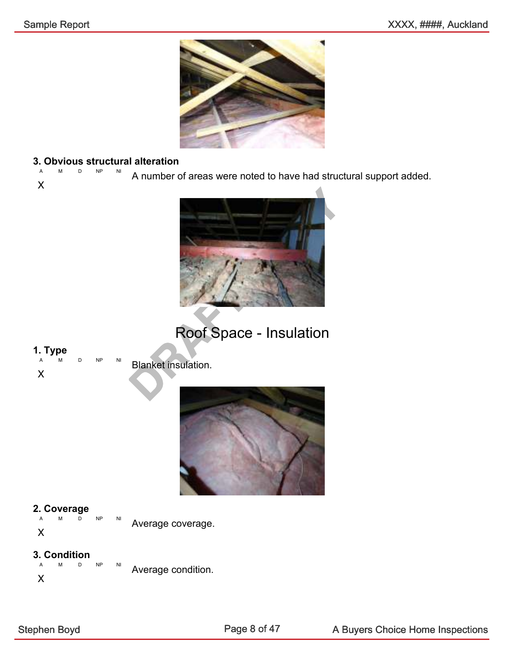

### 3. Obvious structural alteration

A M D NP NI X A number of areas were noted to have had structural support added.



### Roof Space - Insulation

### 1. Type

X

D NP NI Blanket insulation.



#### 2. Coverage

A M D NP NI X Average coverage.

#### 3. Condition

A M D NP NI X Average condition.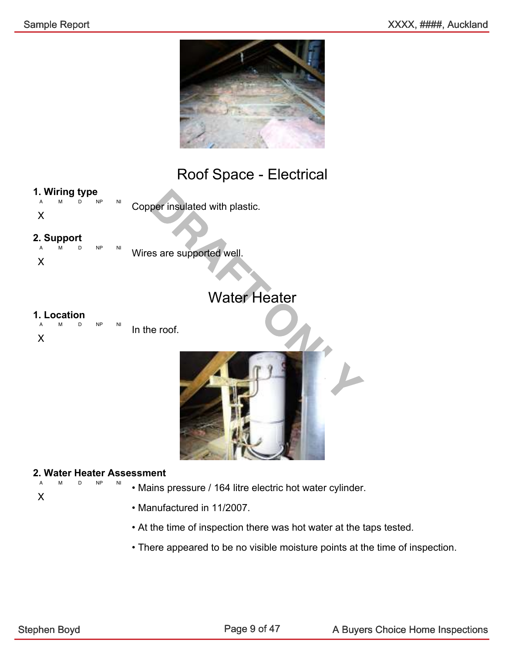

#### Roof Space - Electrical

#### 1. Wiring type

A M D NP NI Copper insulated with plastic.

#### X

2. Support

A M D NP NI X Wires are supported well.

#### Water Heater

### 1. Location

A M D NP NI X In the roof.



#### 2. Water Heater Assessment D NP NI

• Mains pressure / 164 litre electric hot water cylinder.

X

- 
- Manufactured in 11/2007.
- At the time of inspection there was hot water at the taps tested.
- There appeared to be no visible moisture points at the time of inspection.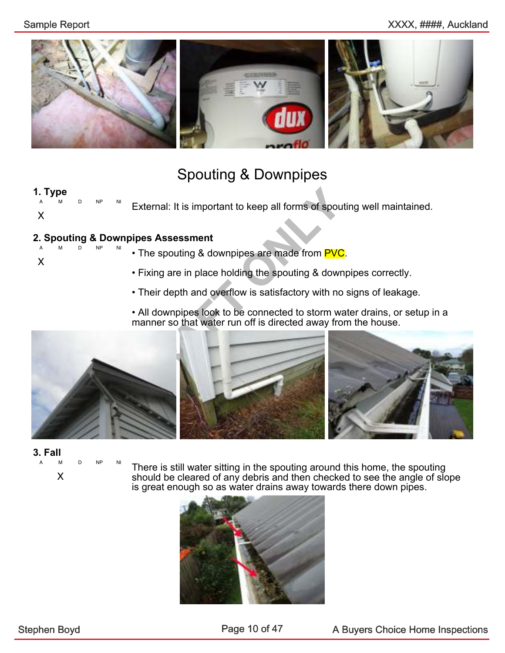

#### Spouting & Downpipes

#### 1. Type

A M D NP NI X External: It is important to keep all forms of spouting well maintained.

#### 2. Spouting & Downpipes Assessment

A M D NP NI X

- The spouting & downpipes are made from PVC.
- Fixing are in place holding the spouting & downpipes correctly.
- Their depth and overflow is satisfactory with no signs of leakage.
- All downpipes look to be connected to storm water drains, or setup in a manner so that water run off is directed away from the house.





A M D NP NI

X

There is still water sitting in the spouting around this home, the spouting should be cleared of any debris and then checked to see the angle of slope is great enough so as water drains away towards there down pipes.

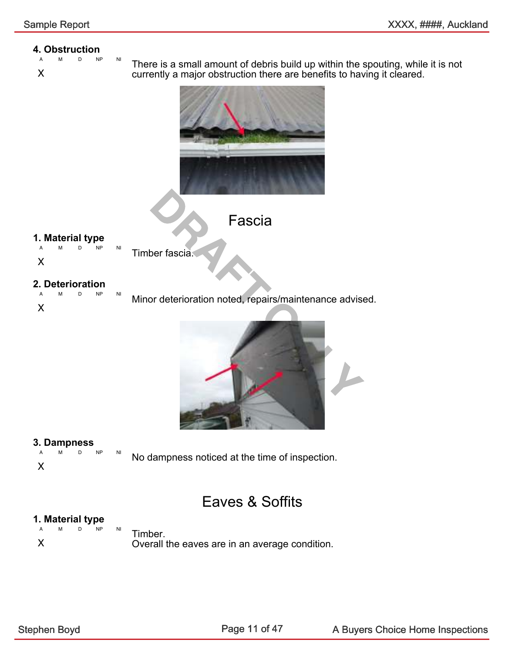### **4.** Obstruction

- A M D NP NI
- X

There is a small amount of debris build up within the spouting, while it is not currently a major obstruction there are benefits to having it cleared.





### 1. Material type

A M D NP NI

X

Timber fascia.

## 2. Deterioration

D NP NI X Minor deterioration noted, repairs/maintenance advised.



### 3. Dampness

A M D NP NI No dampness noticed at the time of inspection.

X

Eaves & Soffits

### **1. Material type**

D NP NI X Timber. Overall the eaves are in an average condition.

Page 11 of 47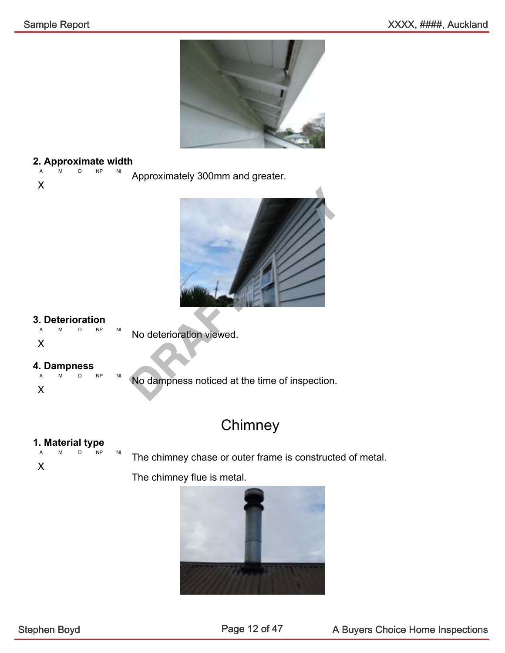

#### 2. Approximate width

A M D NP NI Approximately 300mm and greater.





#### 3. Deterioration

A M D NP NI

X

X

No deterioration viewed.

# 4. Dampness

M D NP NI X

No dampness noticed at the time of inspection.

#### **Chimney**

## 1. Material type

M D NP NI

The chimney chase or outer frame is constructed of metal.

The chimney flue is metal.

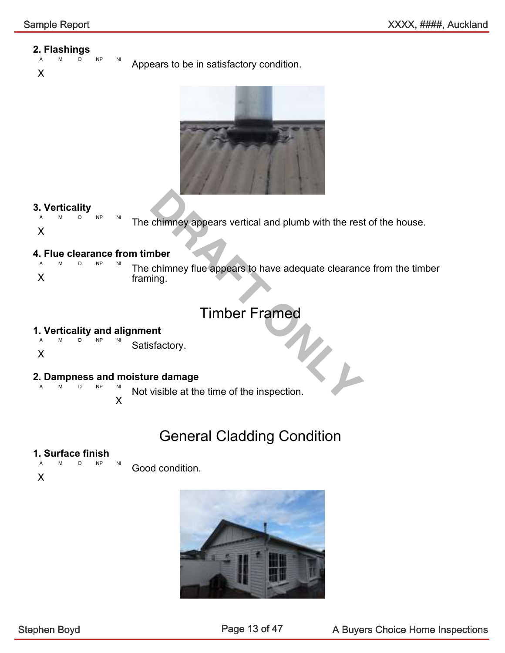### 2. Flashings

D NP NI Appears to be in satisfactory condition.





### 3. Verticality

 $M$  D The chimney appears vertical and plumb with the rest of the house.

#### X

### 4. Flue clearance from timber

chimney appears vertical and plumb with the rest<br>
mber<br>
chimney flue appears to have adequate clearance<br>
ing.<br>
Timber Framed<br>
ent<br>
sfactory.<br> **PRAFT ON TEAMED**<br>
visible at the time of the inspection. M D NP X The chimney flue appears to have adequate clearance from the timber framing.

#### Timber Framed

### 1. Verticality and alignment

A M D NP NI Satisfactory.

#### X

#### 2. Dampness and moisture damage  $M<sub>1</sub>$

X Satisfactory.<br> **Not visible at the time of the inspection.** 

### General Cladding Condition

#### 1. Surface finish

A M D NP NI Good condition.

X

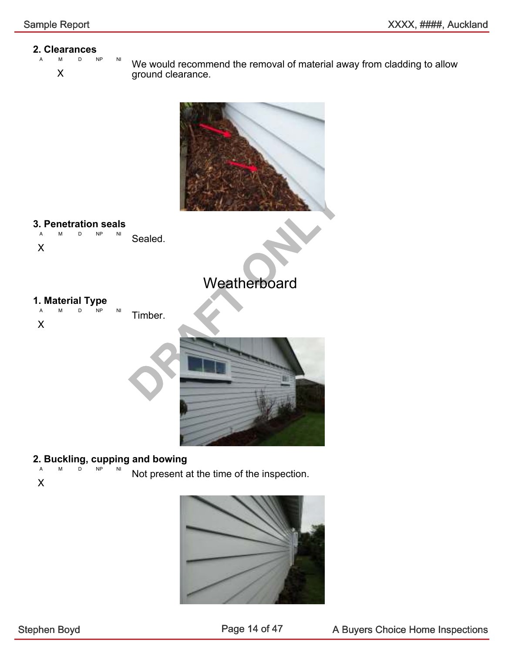### 2. Clearances

A M D NP NI

X

We would recommend the removal of material away from cladding to allow ground clearance.



### 2. Buckling, cupping and bowing

- $NP$ Not present at the time of the inspection.
- X

X

X

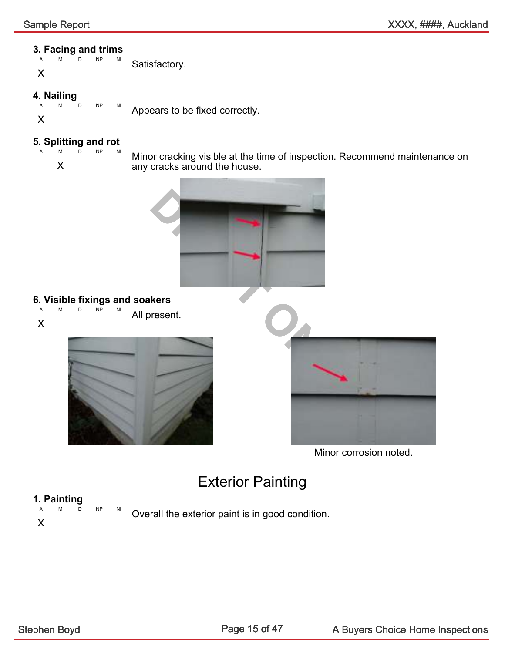### 3. Facing and trims

M D NP X Satisfactory.

### 4. Nailing<br> $A$   $M$

NP NI X

Appears to be fixed correctly.

### 5. Splitting and rot

D NP NI

X

Minor cracking visible at the time of inspection. Recommend maintenance on any cracks around the house.



### 6. Visible fixings and soakers

M D NP X All present.





Minor corrosion noted.

### Exterior Painting

# 1. Painting

X

D NP NI

Overall the exterior paint is in good condition.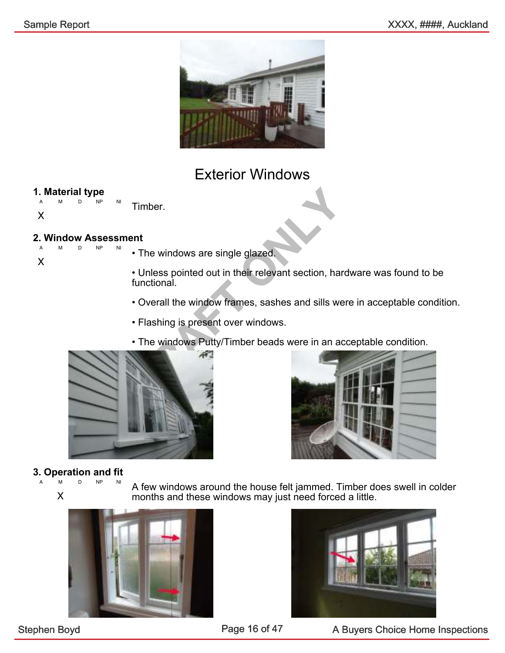

#### Exterior Windows

### 1. Material type

D NP NI X Timber.

#### 2. Window Assessment D NP

- X
- The windows are single glazed.

Timber.<br>
• The windows are single glazed.<br>
• Unless pointed out in their relevant section, hard<br>
functional.<br>
• Overall the window frames, sashes and sills were<br>
• Flashing is present over windows.<br>
• The windows Putty/Tim • Unless pointed out in their relevant section, hardware was found to be functional.

- Overall the window frames, sashes and sills were in acceptable condition.
- Flashing is present over windows.
- The windows Putty/Timber beads were in an acceptable condition.



3. Operation and fit A M D NP NI

X

A few windows around the house felt jammed. Timber does swell in colder months and these windows may just need forced a little.





Stephen Boyd **A Buyers Choice Home Inspections** Page 16 of 47 A Buyers Choice Home Inspections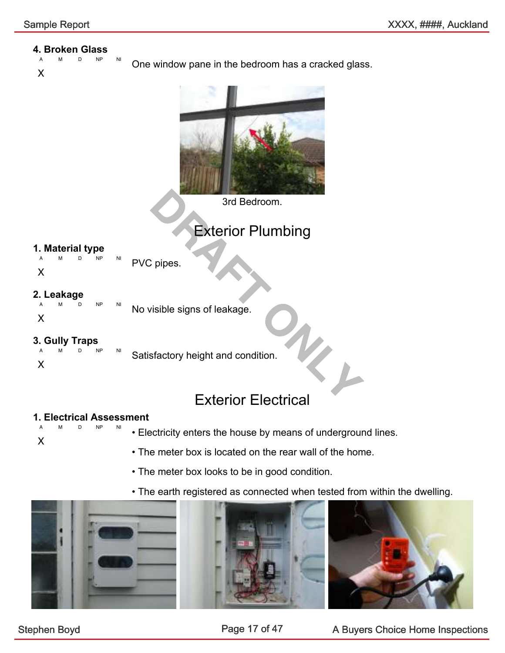#### 4. Broken Glass

- D NP NI
- X

One window pane in the bedroom has a cracked glass.



3rd Bedroom.

### Exterior Plumbing

### 1. Material type

A M D NP NI PVC pipes.

X

### 2. Leakage

A M D NP NI X No visible signs of leakage.

#### 3. Gully Traps

A M D NP NI X Satisfactory height and condition.

# $V_{L}$ Exterior Electrical

#### 1. Electrical Assessment NP NI

X

• Electricity enters the house by means of underground lines.

- The meter box is located on the rear wall of the home.
- The meter box looks to be in good condition.
- The earth registered as connected when tested from within the dwelling.

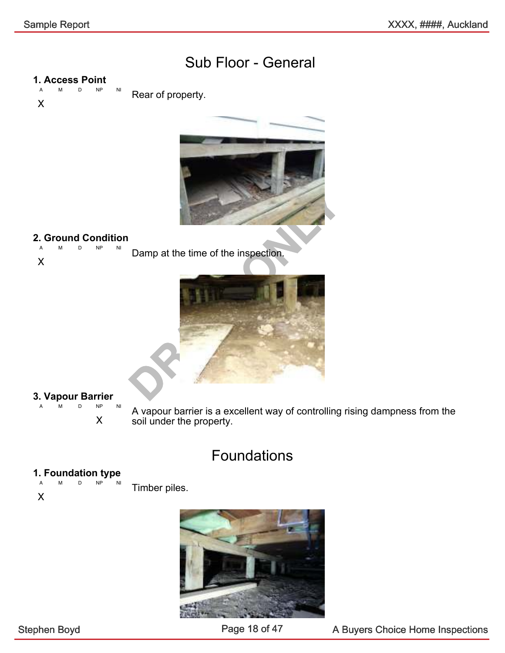#### Sub Floor - General

### 1. Access Point

A M D NP NI X Rear of property.



### **2. Ground Condition**

A M D NP NI Damp at the time of the inspection.





#### **3. Vapour Barrier**

A M D NP NI

X

A vapour barrier is a excellent way of controlling rising dampness from the soil under the property.

### Foundations

#### 1. Foundation type

A M D NP NI

X

Timber piles.

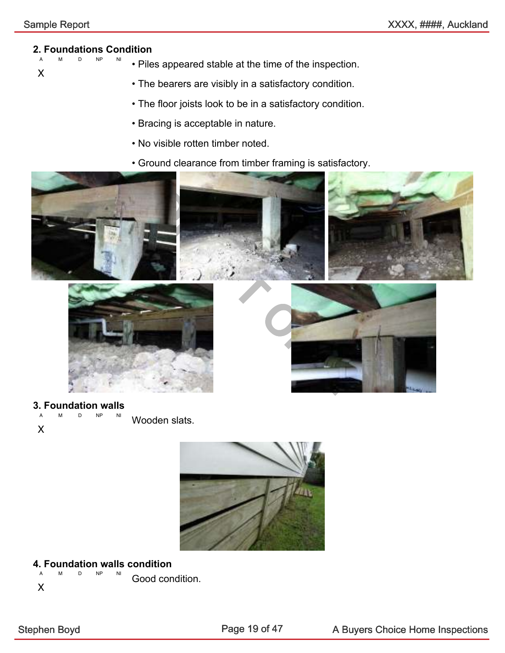#### 2. Foundations Condition  $NP$

• Piles appeared stable at the time of the inspection.

X

- The bearers are visibly in a satisfactory condition.
- The floor joists look to be in a satisfactory condition.
- Bracing is acceptable in nature.
- No visible rotten timber noted.
- Ground clearance from timber framing is satisfactory.







#### 3. Foundation walls

A M D NP NI X Wooden slats.



#### 4. Foundation walls condition

A M D NP NI Good condition.

X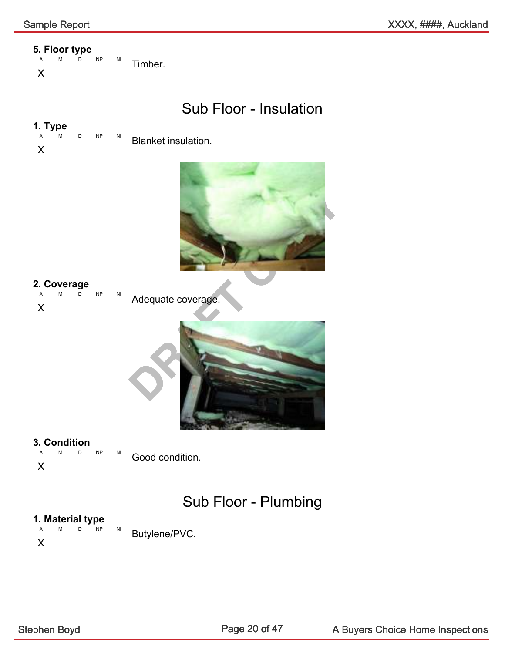# 5. Floor type

M D NP NI X Timber.

#### Sub Floor - Insulation

# 1. Type

 $D$  NP NI Blanket insulation.

X



### 2. Coverage

A M D NP NI X Adequate coverage.



#### 3. Condition

A M D NP NI Good condition.

X

### Sub Floor - Plumbing

### **1. Material type**

A M D NP NI X Butylene/PVC.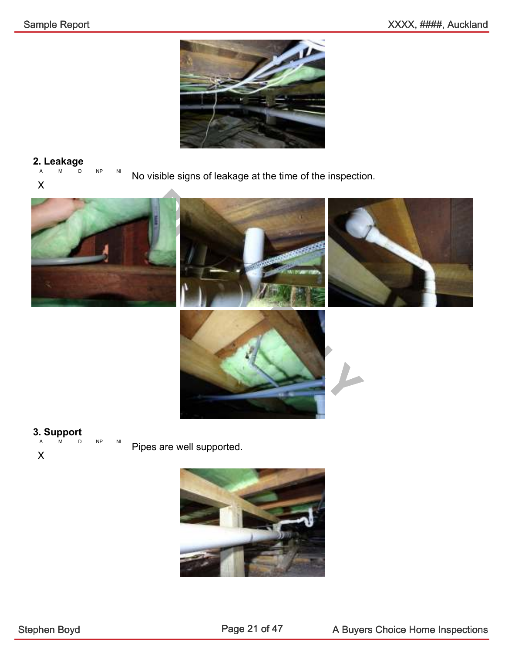

#### 2. Leakage

A M D NP NI No visible signs of leakage at the time of the inspection.





Pipes are well supported.

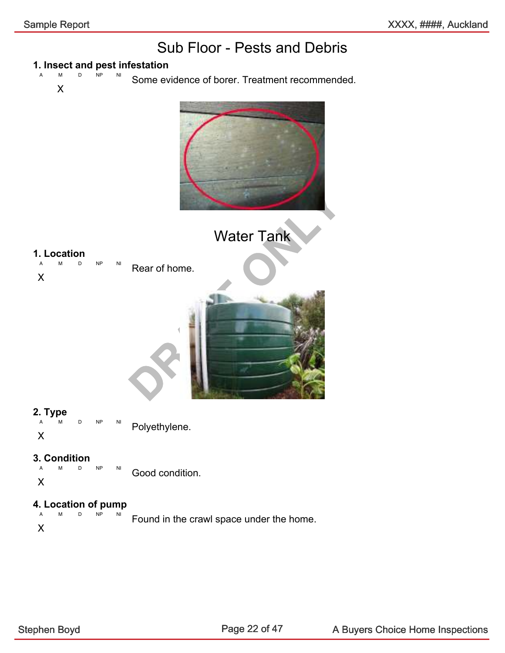### Sub Floor - Pests and Debris

### 1. Insect and pest infestation

 $\overline{\mathsf{NP}}$ X Some evidence of borer. Treatment recommended.



# 4. Location of pump

 $D$  NP X Found in the crawl space under the home.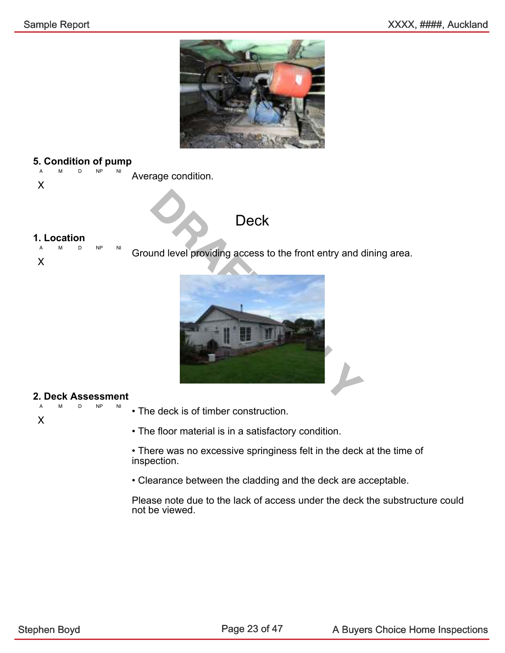

### 5. Condition of pump

A M D NP NI Average condition.

X

#### **Deck**

#### 1. Location

A M D NP NI X Ground level providing access to the front entry and dining area.



#### 2. Deck Assessment

M D NP X

• The deck is of timber construction.

• The floor material is in a satisfactory condition.

• There was no excessive springiness felt in the deck at the time of inspection.

• Clearance between the cladding and the deck are acceptable.

Please note due to the lack of access under the deck the substructure could not be viewed.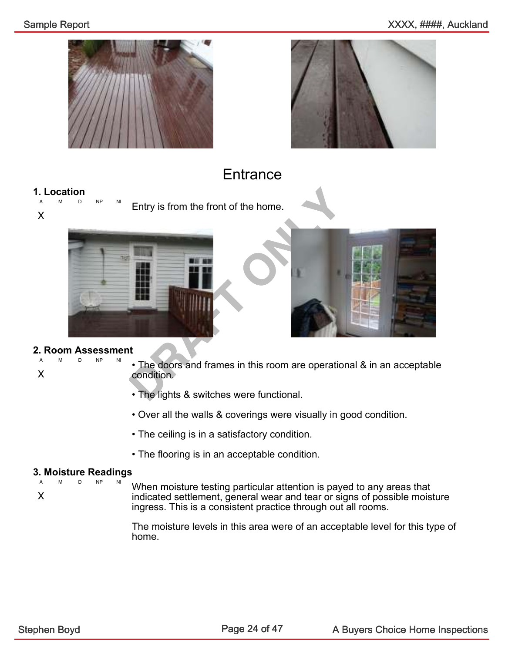



#### **Entrance**

#### 1. Location

A M D NP NI X Entry is from the front of the home.





#### 2. Room Assessment D NP

X

- The doors and frames in this room are operational & in an acceptable condition.
- The lights & switches were functional.
- Over all the walls & coverings were visually in good condition.
- The ceiling is in a satisfactory condition.
- The flooring is in an acceptable condition.

### 3. Moisture Readings

A M D NP X

When moisture testing particular attention is payed to any areas that indicated settlement, general wear and tear or signs of possible moisture ingress. This is a consistent practice through out all rooms.

The moisture levels in this area were of an acceptable level for this type of home.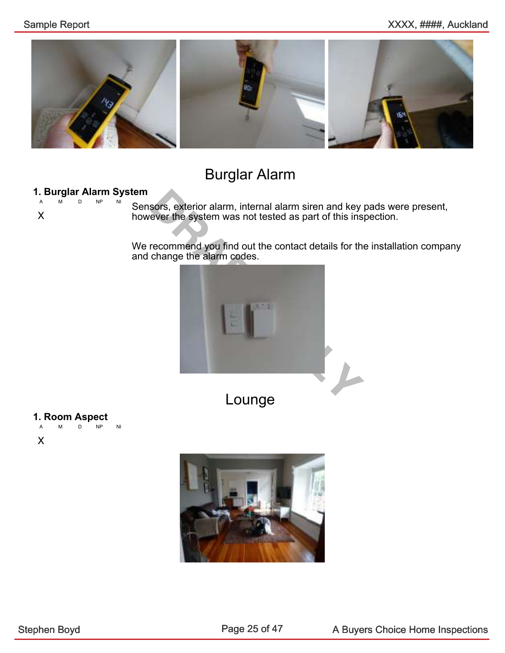

### Burglar Alarm

#### 1. Burglar Alarm System

A M D NP NI

X

Sensors, exterior alarm, internal alarm siren and key pads were present, however the system was not tested as part of this inspection.

We recommend you find out the contact details for the installation company and change the alarm codes.



Lounge

### 1. Room Aspect

A M D NP NI

X

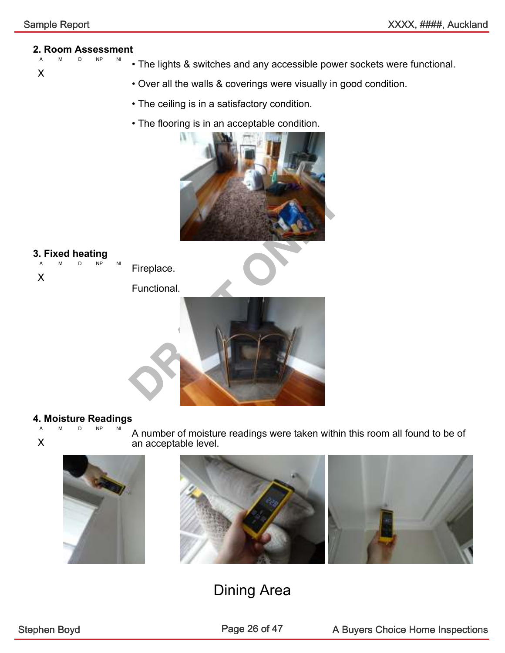X

### 2. Room Assessment

- NP NI • The lights & switches and any accessible power sockets were functional.
	- Over all the walls & coverings were visually in good condition.
	- The ceiling is in a satisfactory condition.
	- The flooring is in an acceptable condition.





#### 4. Moisture Readings

 $NP$ X A number of moisture readings were taken within this room all found to be of an acceptable level.





#### Dining Area

Page 26 of 47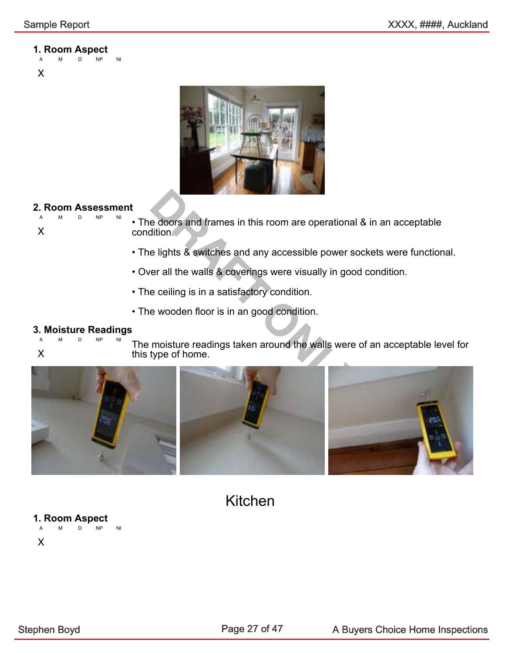### 1. Room Aspect





#### **2. Room Assessment** A M D NP NI



• The doors and frames in this room are operational & in an acceptable condition.

- The lights & switches and any accessible power sockets were functional.
- Over all the walls & coverings were visually in good condition.
- The ceiling is in a satisfactory condition.
- The wooden floor is in an good condition.

### **3. Moisture Readings**

- $NP$
- X

The moisture readings taken around the walls were of an acceptable level for this type of home.



Kitchen

1. Room Aspect D NP NI X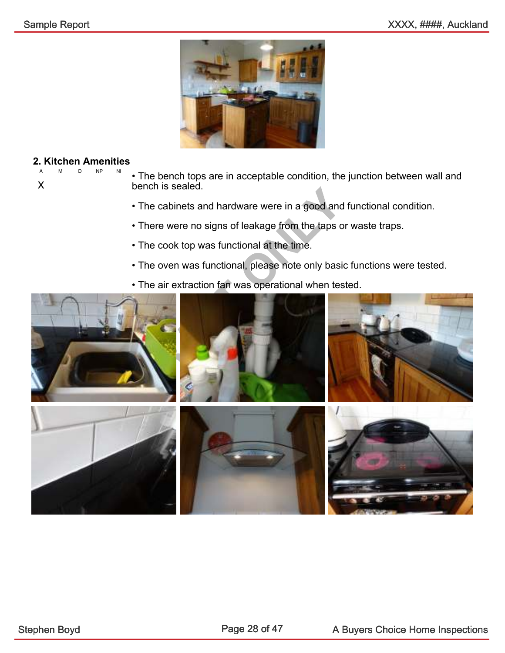

#### 2. Kitchen Amenities D NP NI

X

- The bench tops are in acceptable condition, the junction between wall and bench is sealed.
	- The cabinets and hardware were in a good and functional condition.
	- There were no signs of leakage from the taps or waste traps.
	- The cook top was functional at the time.
	- The oven was functional, please note only basic functions were tested.
	- The air extraction fan was operational when tested.

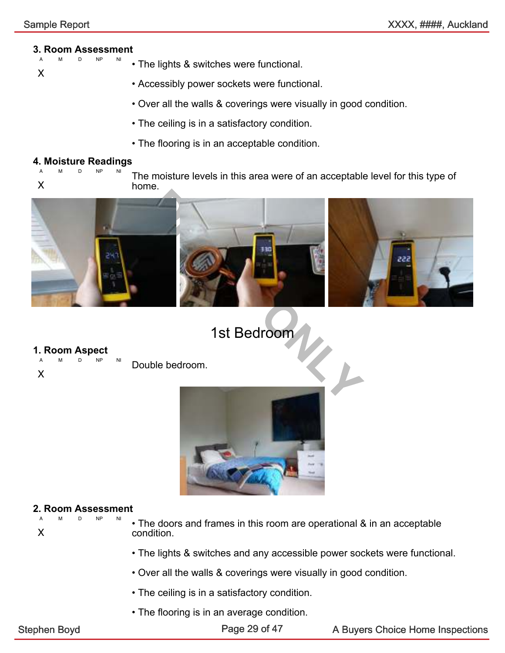### **3. Room Assessment**

- NP NI • The lights & switches were functional.
- X

- Accessibly power sockets were functional.
- Over all the walls & coverings were visually in good condition.
- The ceiling is in a satisfactory condition.
- The flooring is in an acceptable condition.

#### 4. Moisture Readings

A M D NP NI X The moisture levels in this area were of an acceptable level for this type of home.



### 1st Bedroom

### 1. Room Aspect

A M D NP NI

X

Double bedroom.



#### 2. Room Assessment D NP NI

- X
- The doors and frames in this room are operational & in an acceptable condition.
- The lights & switches and any accessible power sockets were functional.
- Over all the walls & coverings were visually in good condition.
- The ceiling is in a satisfactory condition.
- The flooring is in an average condition.

Page 29 of 47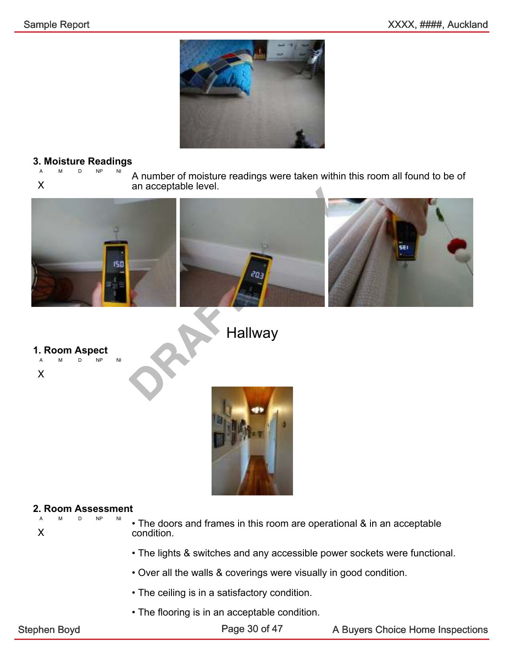

### **3. Moisture Readings**

A M D NP NI X A number of moisture readings were taken within this room all found to be of an acceptable level.



**Hallway** 

### 1. Room Aspect

A M D NP NI





#### 2. Room Assessment D NP NI

X

- The doors and frames in this room are operational & in an acceptable condition.
- The lights & switches and any accessible power sockets were functional.
- Over all the walls & coverings were visually in good condition.
- The ceiling is in a satisfactory condition.
- The flooring is in an acceptable condition.

Page 30 of 47

Stephen Boyd **A Buyers Choice Home Inspections** Page 30 of 47 A Buyers Choice Home Inspections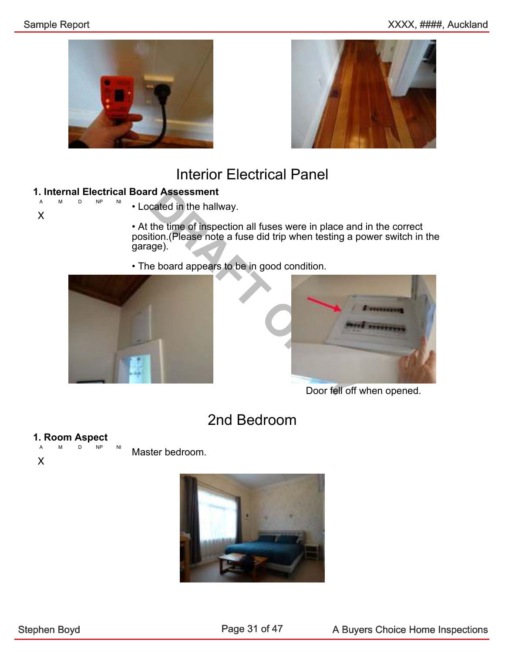



#### Interior Electrical Panel

### **1. Internal Electrical Board Assessment**

D NP NI

X

• Located in the hallway.

• At the time of inspection all fuses were in place and in the correct position.(Please note a fuse did trip when testing a power switch in the garage).

• The board appears to be in good condition.





Door fell off when opened.

### 2nd Bedroom

### 1. Room Aspect

A M D NP NI X Master bedroom.

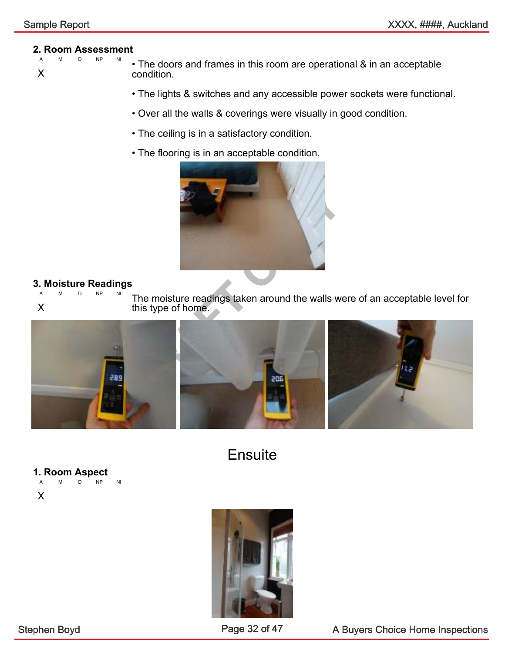### 2. Room Assessment

- D NP
- X

• The doors and frames in this room are operational & in an acceptable condition.

- The lights & switches and any accessible power sockets were functional.
- Over all the walls & coverings were visually in good condition.
- The ceiling is in a satisfactory condition.
- The flooring is in an acceptable condition.



#### **3. Moisture Readings**

A M D NP NI X The moisture readings taken around the walls were of an acceptable level for this type of home.



**Ensuite** 

### 1. Room Aspect

A M D NP NI

X



Page 32 of 47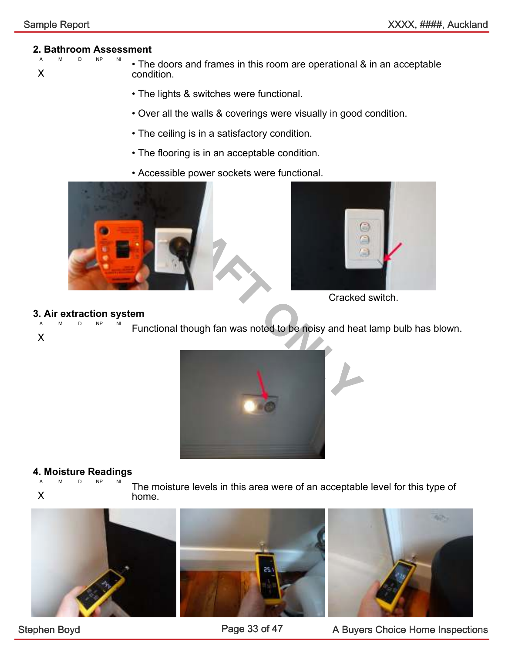#### 2. Bathroom Assessment

- $NP$ X
	- The doors and frames in this room are operational & in an acceptable condition.
		- The lights & switches were functional.
		- Over all the walls & coverings were visually in good condition.
		- The ceiling is in a satisfactory condition.
		- The flooring is in an acceptable condition.
		- Accessible power sockets were functional.





Cracked switch.

### 3. Air extraction system

D NP NI X Functional though fan was noted to be noisy and heat lamp bulb has blown.



### 4. Moisture Readings<br>AMD NP NP NI

 $NP$ X The moisture levels in this area were of an acceptable level for this type of home.







Stephen Boyd **A Buyers Choice Home Inspections** Page 33 of 47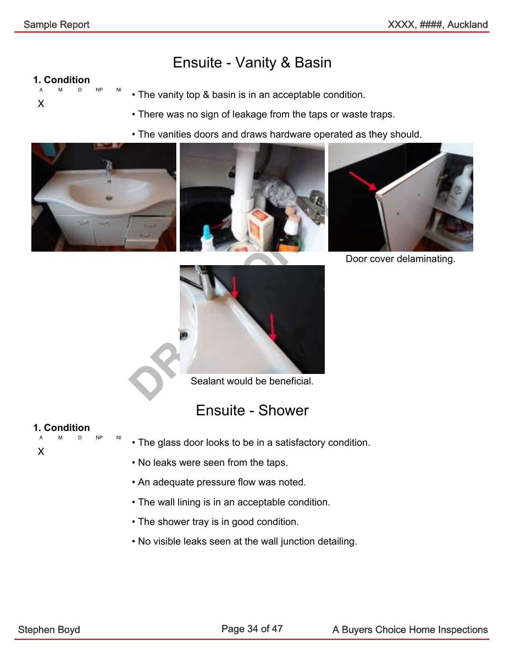#### Ensuite - Vanity & Basin

#### 1. Condition

A M D NP NI X

- The vanity top & basin is in an acceptable condition.
- There was no sign of leakage from the taps or waste traps.
- The vanities doors and draws hardware operated as they should.







Door cover delaminating.

Sealant would be beneficial.

#### Ensuite - Shower

#### 1. Condition

X

A M D NP NI

- The glass door looks to be in a satisfactory condition.
- No leaks were seen from the taps.
- An adequate pressure flow was noted.
- The wall lining is in an acceptable condition.
- The shower tray is in good condition.
- No visible leaks seen at the wall junction detailing.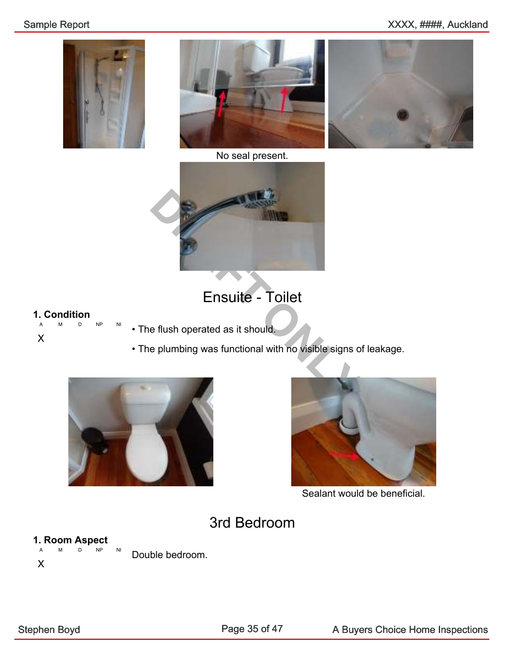





No seal present.



### Ensuite - Toilet

### 1. Condition

A M D NP NI X

- The flush operated as it should.
- The plumbing was functional with no visible signs of leakage.





Sealant would be beneficial.

#### 3rd Bedroom

#### 1. Room Aspect

A M D NP NI X Double bedroom.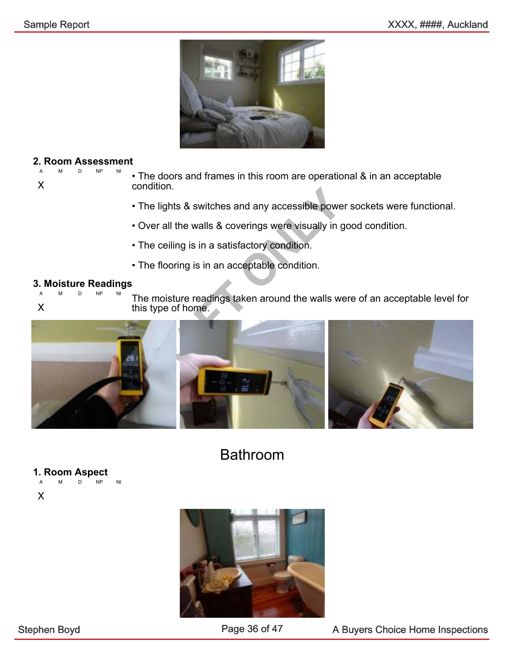

#### 2. Room Assessment D NP NI

X

• The doors and frames in this room are operational & in an acceptable condition.

- The lights & switches and any accessible power sockets were functional.
- Over all the walls & coverings were visually in good condition.
- The ceiling is in a satisfactory condition.
- The flooring is in an acceptable condition.

#### 3. Moisture Readings

A M D NP NI X

The moisture readings taken around the walls were of an acceptable level for this type of home.



Bathroom

### 1. Room Aspect

A M D NP NI

X

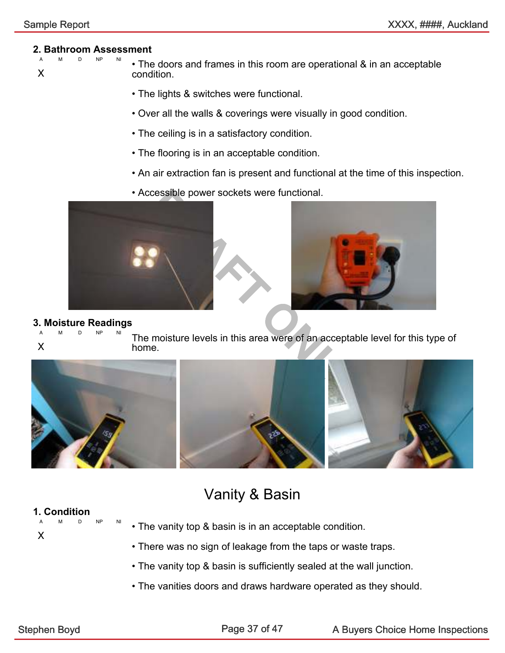#### 2. Bathroom Assessment

- A M D NP NI X • The doors and frames in this room are operational & in an acceptable condition.
	- The lights & switches were functional.
	- Over all the walls & coverings were visually in good condition.
	- The ceiling is in a satisfactory condition.
	- The flooring is in an acceptable condition.
	- An air extraction fan is present and functional at the time of this inspection.
	- Accessible power sockets were functional.





#### 3. Moisture Readings

A M D NP NI

X

The moisture levels in this area were of an acceptable level for this type of home.



#### Vanity & Basin

#### 1. Condition

X

- A M D NP NI • The vanity top & basin is in an acceptable condition.
	- There was no sign of leakage from the taps or waste traps.
	- The vanity top & basin is sufficiently sealed at the wall junction.
	- The vanities doors and draws hardware operated as they should.

Page 37 of 47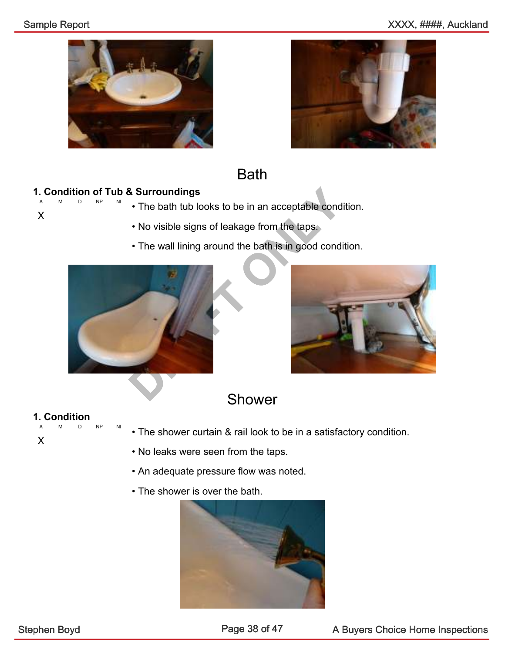#### Sample Report **Sample Report** 3.1 Auckland 2.5 Auckland 2.5 Auckland 2.5 Auckland 2.5 Auckland 2.5 Auckland 2.5 Auckland 2.5 Auckland 2.5 Auckland 2.5 Auckland 2.5 Auckland 2.5 Auckland 2.5 Auckland 2.5 Auckland 2.5 Auckla

X





#### Bath

#### 1. Condition of Tub & Surroundings D NP NI

- The bath tub looks to be in an acceptable condition.
	- No visible signs of leakage from the taps.
	- The wall lining around the bath is in good condition.





#### Shower

### 1. Condition

A M D NP NI X

- The shower curtain & rail look to be in a satisfactory condition.
- No leaks were seen from the taps.
- An adequate pressure flow was noted.
- The shower is over the bath.

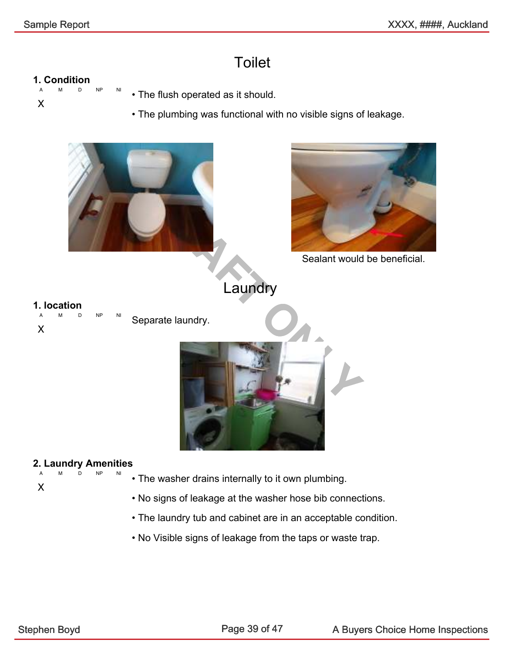### **Toilet**

#### 1. Condition

- A M D NP NI
- X
- The flush operated as it should.
- The plumbing was functional with no visible signs of leakage.

![](_page_39_Picture_8.jpeg)

#### 2. Laundry Amenities A M D NP NI

- The washer drains internally to it own plumbing.
- No signs of leakage at the washer hose bib connections.
- The laundry tub and cabinet are in an acceptable condition.
- No Visible signs of leakage from the taps or waste trap.

X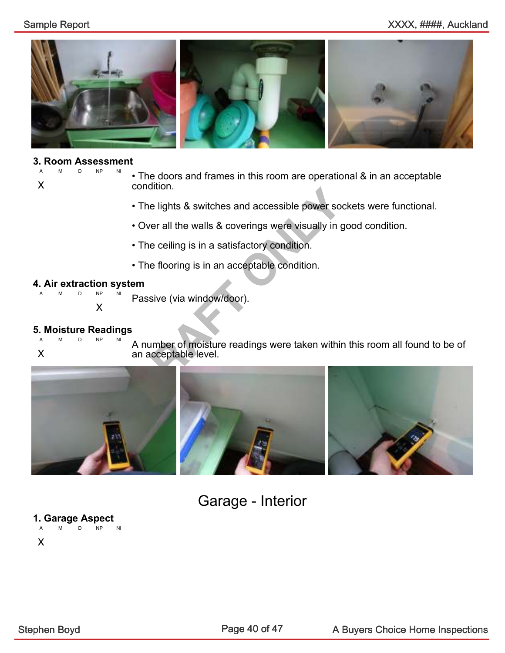#### Sample Report **Sample Report** 3.1 Auckland 2.5 Auckland 2.5 Auckland 2.5 Auckland 2.5 Auckland 2.5 Auckland 2.5 Auckland 2.5 Auckland 2.5 Auckland 2.5 Auckland 2.5 Auckland 2.5 Auckland 2.5 Auckland 2.5 Auckland 2.5 Auckla

![](_page_40_Picture_2.jpeg)

#### 3. Room Assessment

D NP X

• The doors and frames in this room are operational & in an acceptable condition.

- The lights & switches and accessible power sockets were functional.
- Over all the walls & coverings were visually in good condition.
- The ceiling is in a satisfactory condition.
- The flooring is in an acceptable condition.

#### 4. Air extraction system

 $NP$ X

Passive (via window/door).

### 5. Moisture Readings

 $D$ 

X

A number of moisture readings were taken within this room all found to be of an acceptable level.

![](_page_40_Picture_17.jpeg)

### Garage - Interior

1. Garage Aspect A M D NP NI X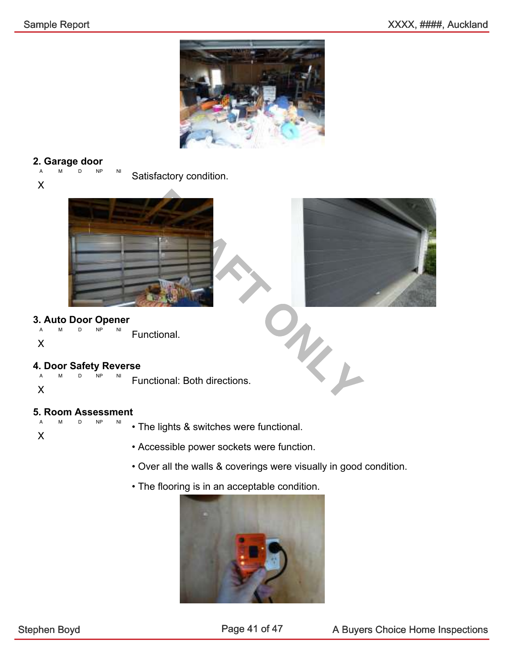![](_page_41_Picture_2.jpeg)

#### 2. Garage door

A M D NP NI Satisfactory condition.

X

![](_page_41_Picture_6.jpeg)

![](_page_41_Picture_7.jpeg)

### 3. Auto Door Opener

 $NP$ 

X

### 4. Door Safety Reverse

A M D NP NI X Functional: Both directions.

Functional.

#### 5. Room Assessment

 $D$  NP X

• The lights & switches were functional.

- Accessible power sockets were function.
- Over all the walls & coverings were visually in good condition.
- The flooring is in an acceptable condition.

![](_page_41_Picture_19.jpeg)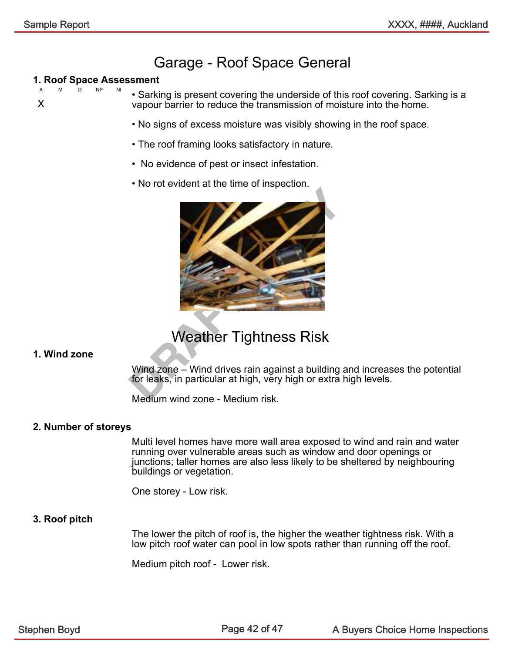#### Garage - Roof Space General

#### 1. Roof Space Assessment  $NP$

X

• Sarking is present covering the underside of this roof covering. Sarking is a vapour barrier to reduce the transmission of moisture into the home.

- No signs of excess moisture was visibly showing in the roof space.
- The roof framing looks satisfactory in nature.
- No evidence of pest or insect infestation.
- No rot evident at the time of inspection.

![](_page_42_Picture_10.jpeg)

#### Weather Tightness Risk

#### 1. Wind zone

Wind zone – Wind drives rain against a building and increases the potential for leaks, in particular at high, very high or extra high levels.

Medium wind zone - Medium risk.

#### 2. Number of storeys

Multi level homes have more wall area exposed to wind and rain and water running over vulnerable areas such as window and door openings or junctions; taller homes are also less likely to be sheltered by neighbouring buildings or vegetation.

One storey - Low risk.

#### 3. Roof pitch

The lower the pitch of roof is, the higher the weather tightness risk. With a low pitch roof water can pool in low spots rather than running off the roof.

Medium pitch roof - Lower risk.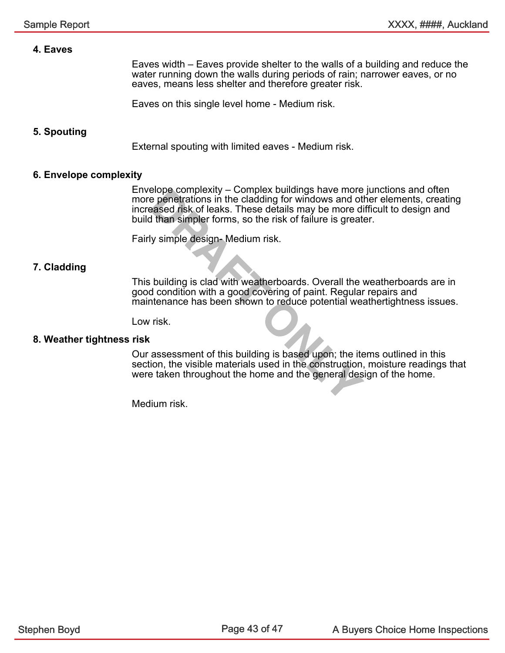#### 4. Eaves

Eaves width – Eaves provide shelter to the walls of a building and reduce the water running down the walls during periods of rain; narrower eaves, or no eaves, means less shelter and therefore greater risk.

Eaves on this single level home - Medium risk.

#### 5. Spouting

External spouting with limited eaves - Medium risk.

#### 6. Envelope complexity

Example the complexity – Complex buildings have more<br>
penetrations in the cladding for windows and oft<br>
arsed risk of leaks. These details may be more dividends that<br>
dividends in the signal may be more dividends in<br>
perfo Envelope complexity – Complex buildings have more junctions and often more penetrations in the cladding for windows and other elements, creating increased risk of leaks. These details may be more difficult to design and build than simpler forms, so the risk of failure is greater.

Fairly simple design- Medium risk.

#### 7. Cladding

This building is clad with weatherboards. Overall the weatherboards are in good condition with a good covering of paint. Regular repairs and maintenance has been shown to reduce potential weathertightness issues.

Low risk.

#### 8. Weather tightness risk

Our assessment of this building is based upon; the items outlined in this section, the visible materials used in the construction, moisture readings that were taken throughout the home and the general design of the home.

Medium risk.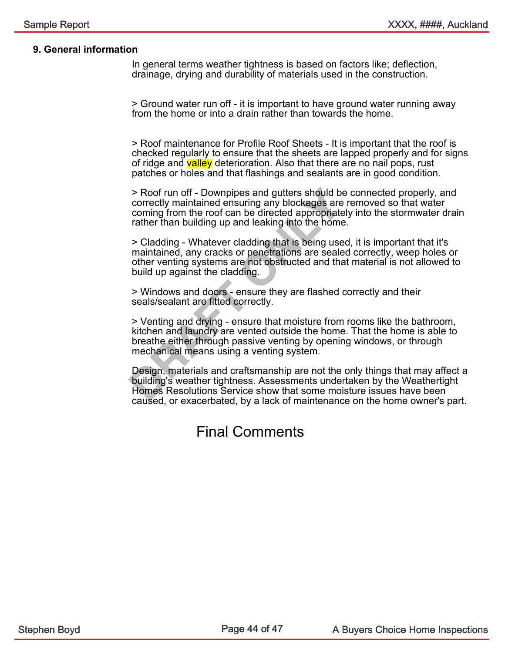#### 9. General information

In general terms weather tightness is based on factors like; deflection, drainage, drying and durability of materials used in the construction.

> Ground water run off - it is important to have ground water running away from the home or into a drain rather than towards the home.

> Roof maintenance for Profile Roof Sheets - It is important that the roof is checked regularly to ensure that the sheets are lapped properly and for signs of ridge and valley deterioration. Also that there are no nail pops, rust patches or holes and that flashings and sealants are in good condition.

> Roof run off - Downpipes and gutters should be correctly maintained ensuring any blockages are rcoming from the roof can be directed appropriately<br>
rather than building up and leaking into the home.<br>
DRAFT ONLY SURVENT > Roof run off - Downpipes and gutters should be connected properly, and correctly maintained ensuring any blockages are removed so that water coming from the roof can be directed appropriately into the stormwater drain rather than building up and leaking into the home.

> Cladding - Whatever cladding that is being used, it is important that it's maintained, any cracks or penetrations are sealed correctly, weep holes or other venting systems are not obstructed and that material is not allowed to build up against the cladding.

> Windows and doors - ensure they are flashed correctly and their seals/sealant are fitted correctly.

> Venting and drying - ensure that moisture from rooms like the bathroom, kitchen and laundry are vented outside the home. That the home is able to breathe either through passive venting by opening windows, or through mechanical means using a venting system.

Design, materials and craftsmanship are not the only things that may affect a building's weather tightness. Assessments undertaken by the Weathertight Homes Resolutions Service show that some moisture issues have been caused, or exacerbated, by a lack of maintenance on the home owner's part.

#### Final Comments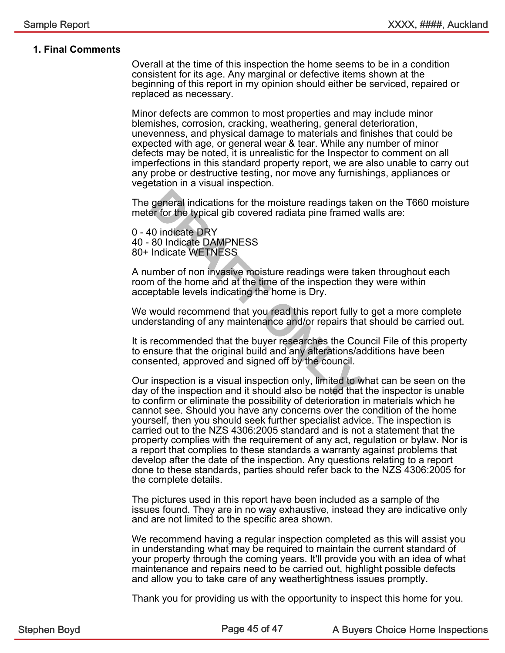#### 1. Final Comments

Overall at the time of this inspection the home seems to be in a condition consistent for its age. Any marginal or defective items shown at the beginning of this report in my opinion should either be serviced, repaired or replaced as necessary.

Minor defects are common to most properties and may include minor blemishes, corrosion, cracking, weathering, general deterioration, unevenness, and physical damage to materials and finishes that could be expected with age, or general wear & tear. While any number of minor defects may be noted, it is unrealistic for the Inspector to comment on all imperfections in this standard property report, we are also unable to carry out any probe or destructive testing, nor move any furnishings, appliances or vegetation in a visual inspection.

The general indications for the moisture readings taken on the T660 moisture meter for the typical gib covered radiata pine framed walls are:

0 - 40 indicate DRY 40 - 80 Indicate DAMPNESS 80+ Indicate WETNESS

general indications for the moisture readings taken for the typical gib covered radiata pine framed v<br>10 indicate DRY<br>80 Indicate DAMPNESS<br>Indicate WETNESS<br>Indicate WETNESS<br>Imber of non invasive moisture readings were take A number of non invasive moisture readings were taken throughout each room of the home and at the time of the inspection they were within acceptable levels indicating the home is Dry.

We would recommend that you read this report fully to get a more complete understanding of any maintenance and/or repairs that should be carried out.

It is recommended that the buyer researches the Council File of this property to ensure that the original build and any alterations/additions have been consented, approved and signed off by the council.

Our inspection is a visual inspection only, limited to what can be seen on the day of the inspection and it should also be noted that the inspector is unable to confirm or eliminate the possibility of deterioration in materials which he cannot see. Should you have any concerns over the condition of the home yourself, then you should seek further specialist advice. The inspection is carried out to the NZS 4306:2005 standard and is not a statement that the property complies with the requirement of any act, regulation or bylaw. Nor is a report that complies to these standards a warranty against problems that develop after the date of the inspection. Any questions relating to a report done to these standards, parties should refer back to the NZS 4306:2005 for the complete details.

The pictures used in this report have been included as a sample of the issues found. They are in no way exhaustive, instead they are indicative only and are not limited to the specific area shown.

We recommend having a regular inspection completed as this will assist you in understanding what may be required to maintain the current standard of your property through the coming years. It'll provide you with an idea of what maintenance and repairs need to be carried out, highlight possible defects and allow you to take care of any weathertightness issues promptly.

Thank you for providing us with the opportunity to inspect this home for you.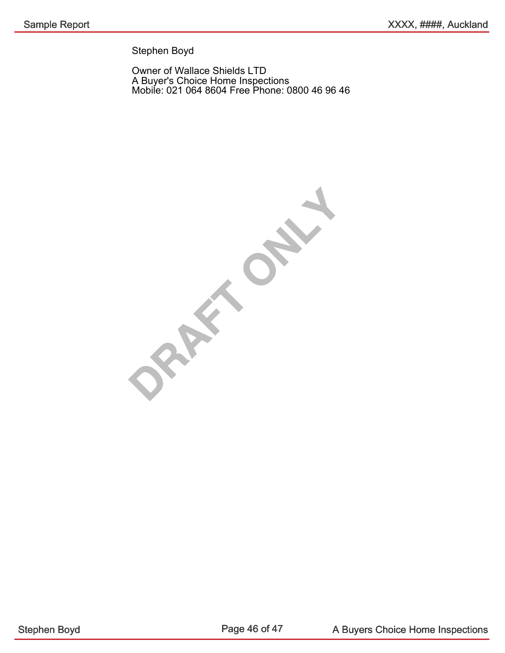Stephen Boyd

Owner of Wallace Shields LTD A Buyer's Choice Home Inspections Mobile: 021 064 8604 Free Phone: 0800 46 96 46

**ORAFT ONLY**